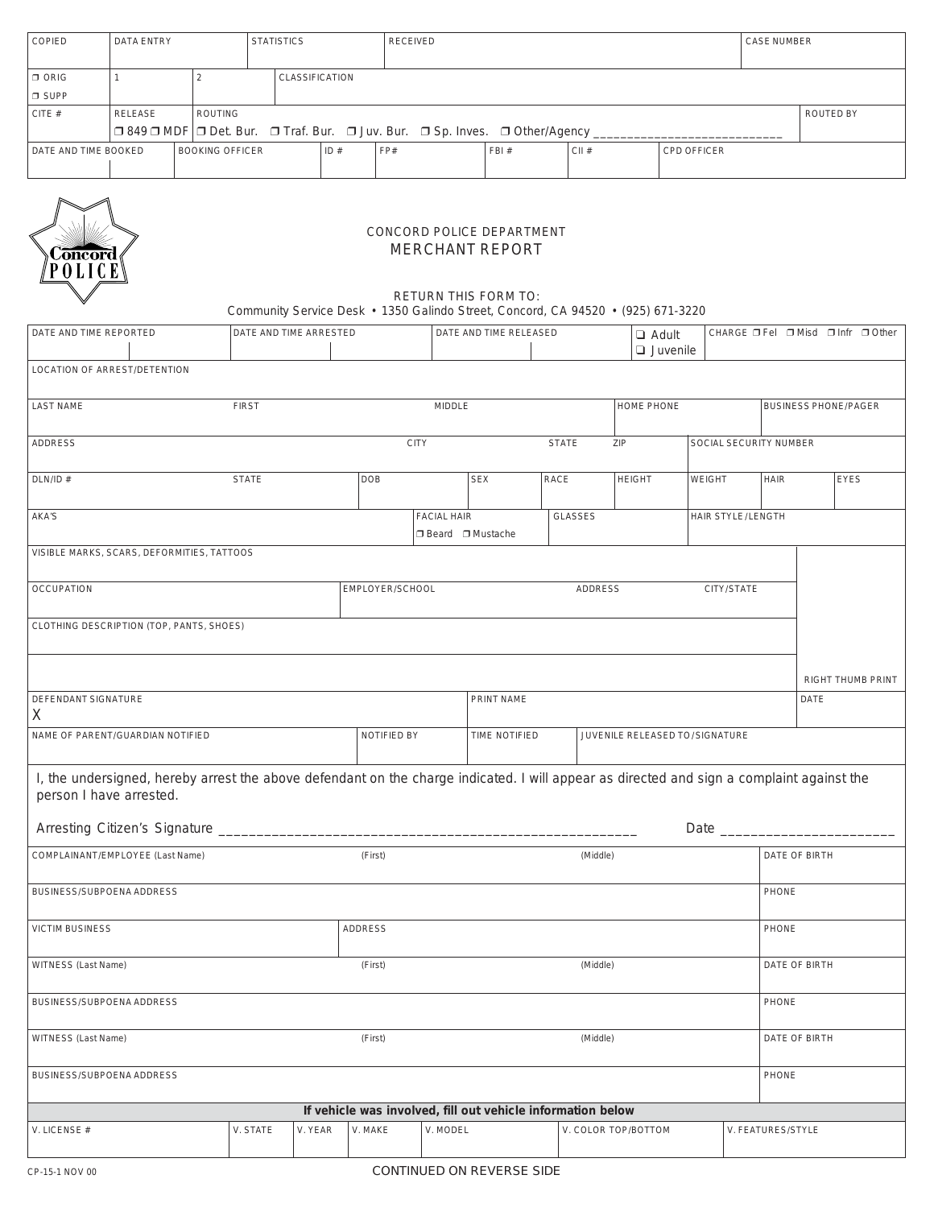| <b>COPIED</b>        | DATA ENTRY                                                                   |                | <b>STATISTICS</b>      |  | RECEIVED |      | CASE NUMBER |                    |  |  |  |
|----------------------|------------------------------------------------------------------------------|----------------|------------------------|--|----------|------|-------------|--------------------|--|--|--|
| $\Box$ ORIG          |                                                                              |                | <b>CLASSIFICATION</b>  |  |          |      |             |                    |  |  |  |
| $\Box$ SUPP          |                                                                              |                |                        |  |          |      |             |                    |  |  |  |
| CITE#                | <b>RELEASE</b>                                                               | <b>ROUTING</b> | <b>ROUTED BY</b>       |  |          |      |             |                    |  |  |  |
|                      | □ 849 □ MDF □ Det. Bur. □ Traf. Bur. □ Juv. Bur. □ Sp. Inves. □ Other/Agency |                |                        |  |          |      |             |                    |  |  |  |
| DATE AND TIME BOOKED |                                                                              |                | <b>BOOKING OFFICER</b> |  | FP#      | FBI# | CII#        | <b>CPD OFFICER</b> |  |  |  |
|                      |                                                                              |                |                        |  |          |      |             |                    |  |  |  |
|                      |                                                                              |                |                        |  |          |      |             |                    |  |  |  |



## CONCORD POLICE DEPARTMENT MERCHANT REPORT

## RETURN THIS FORM TO: Community Service Desk • 1350 Galindo Street, Concord, CA 94520 • (925) 671-3220

| DATE AND TIME REPORTED                                                                                                                    |              | DATE AND TIME ARRESTED |                    |                     | DATE AND TIME RELEASED |                                |                                | CHARGE □ Fel □ Misd □ Infr □ Other<br>$\Box$ Adult |                             |                           |             |  |
|-------------------------------------------------------------------------------------------------------------------------------------------|--------------|------------------------|--------------------|---------------------|------------------------|--------------------------------|--------------------------------|----------------------------------------------------|-----------------------------|---------------------------|-------------|--|
|                                                                                                                                           |              |                        |                    |                     |                        |                                | $\Box$ Juvenile                |                                                    |                             |                           |             |  |
| LOCATION OF ARREST/DETENTION                                                                                                              |              |                        |                    |                     |                        |                                |                                |                                                    |                             |                           |             |  |
|                                                                                                                                           |              |                        |                    |                     |                        |                                |                                |                                                    |                             |                           |             |  |
| <b>LAST NAME</b>                                                                                                                          | <b>FIRST</b> |                        | MIDDLE             |                     |                        |                                | HOME PHONE                     |                                                    | <b>BUSINESS PHONE/PAGER</b> |                           |             |  |
|                                                                                                                                           |              |                        |                    |                     |                        |                                |                                |                                                    |                             |                           |             |  |
| <b>ADDRESS</b>                                                                                                                            |              |                        | <b>CITY</b>        |                     |                        | <b>STATE</b>                   | SOCIAL SECURITY NUMBER<br>ZIP  |                                                    |                             |                           |             |  |
|                                                                                                                                           |              |                        |                    |                     |                        |                                |                                |                                                    |                             |                           |             |  |
| DLN/ID#                                                                                                                                   | <b>STATE</b> |                        | <b>DOB</b>         |                     | <b>SEX</b>             | RACE                           | <b>HEIGHT</b><br><b>WEIGHT</b> |                                                    | <b>HAIR</b>                 |                           | <b>EYES</b> |  |
|                                                                                                                                           |              |                        |                    |                     |                        |                                |                                |                                                    |                             |                           |             |  |
| AKA'S                                                                                                                                     |              |                        | <b>FACIAL HAIR</b> |                     | <b>GLASSES</b>         |                                | HAIR STYLE/LENGTH              |                                                    |                             |                           |             |  |
|                                                                                                                                           |              |                        |                    | □ Beard □ Mustache  |                        |                                |                                |                                                    |                             |                           |             |  |
|                                                                                                                                           |              |                        |                    |                     |                        |                                |                                |                                                    |                             |                           |             |  |
| VISIBLE MARKS, SCARS, DEFORMITIES, TATTOOS                                                                                                |              |                        |                    |                     |                        |                                |                                |                                                    |                             |                           |             |  |
| <b>OCCUPATION</b>                                                                                                                         |              |                        | EMPLOYER/SCHOOL    |                     |                        |                                | CITY/STATE                     |                                                    |                             |                           |             |  |
|                                                                                                                                           |              |                        |                    |                     |                        | <b>ADDRESS</b>                 |                                |                                                    |                             |                           |             |  |
|                                                                                                                                           |              |                        |                    |                     |                        |                                |                                |                                                    |                             |                           |             |  |
| CLOTHING DESCRIPTION (TOP, PANTS, SHOES)                                                                                                  |              |                        |                    |                     |                        |                                |                                |                                                    |                             |                           |             |  |
|                                                                                                                                           |              |                        |                    |                     |                        |                                |                                |                                                    |                             |                           |             |  |
|                                                                                                                                           |              |                        |                    |                     |                        |                                |                                |                                                    |                             |                           |             |  |
|                                                                                                                                           |              |                        |                    |                     |                        |                                |                                |                                                    |                             | RIGHT THUMB PRINT<br>DATE |             |  |
| DEFENDANT SIGNATURE                                                                                                                       |              |                        |                    | PRINT NAME          |                        |                                |                                |                                                    |                             |                           |             |  |
| $\mathsf{X}$                                                                                                                              |              |                        |                    |                     |                        |                                |                                |                                                    |                             |                           |             |  |
| NAME OF PARENT/GUARDIAN NOTIFIED                                                                                                          |              | NOTIFIED BY            |                    | TIME NOTIFIED       |                        | JUVENILE RELEASED TO/SIGNATURE |                                |                                                    |                             |                           |             |  |
|                                                                                                                                           |              |                        |                    |                     |                        |                                |                                |                                                    |                             |                           |             |  |
| I, the undersigned, hereby arrest the above defendant on the charge indicated. I will appear as directed and sign a complaint against the |              |                        |                    |                     |                        |                                |                                |                                                    |                             |                           |             |  |
| person I have arrested.                                                                                                                   |              |                        |                    |                     |                        |                                |                                |                                                    |                             |                           |             |  |
|                                                                                                                                           |              |                        |                    |                     |                        |                                |                                |                                                    |                             |                           |             |  |
|                                                                                                                                           |              |                        |                    |                     |                        |                                |                                |                                                    |                             |                           |             |  |
| COMPLAINANT/EMPLOYEE (Last Name)                                                                                                          |              | (First)                |                    |                     | (Middle)               |                                |                                | DATE OF BIRTH                                      |                             |                           |             |  |
|                                                                                                                                           |              |                        |                    |                     |                        |                                |                                |                                                    |                             |                           |             |  |
| BUSINESS/SUBPOENA ADDRESS                                                                                                                 |              |                        |                    |                     |                        |                                |                                |                                                    | PHONE                       |                           |             |  |
|                                                                                                                                           |              |                        |                    |                     |                        |                                |                                |                                                    |                             |                           |             |  |
| <b>VICTIM BUSINESS</b>                                                                                                                    |              |                        | <b>ADDRESS</b>     |                     |                        |                                |                                |                                                    | PHONE                       |                           |             |  |
|                                                                                                                                           |              |                        |                    |                     |                        |                                |                                |                                                    |                             |                           |             |  |
|                                                                                                                                           |              |                        |                    |                     |                        |                                |                                |                                                    |                             | DATE OF BIRTH             |             |  |
| WITNESS (Last Name)                                                                                                                       |              |                        | (First)            |                     |                        | (Middle)                       |                                |                                                    |                             |                           |             |  |
|                                                                                                                                           |              |                        |                    |                     |                        |                                |                                |                                                    |                             |                           |             |  |
| BUSINESS/SUBPOENA ADDRESS                                                                                                                 |              |                        |                    |                     |                        |                                |                                |                                                    | PHONE                       |                           |             |  |
| (First)                                                                                                                                   |              |                        |                    |                     |                        |                                |                                |                                                    |                             |                           |             |  |
| WITNESS (Last Name)                                                                                                                       |              | (Middle)               |                    |                     |                        | DATE OF BIRTH                  |                                |                                                    |                             |                           |             |  |
|                                                                                                                                           |              |                        |                    |                     |                        |                                |                                |                                                    |                             |                           |             |  |
| BUSINESS/SUBPOENA ADDRESS<br>PHONE                                                                                                        |              |                        |                    |                     |                        |                                |                                |                                                    |                             |                           |             |  |
|                                                                                                                                           |              |                        |                    |                     |                        |                                |                                |                                                    |                             |                           |             |  |
| If vehicle was involved, fill out vehicle information below<br>V. STATE<br>V. YEAR                                                        |              |                        |                    |                     |                        |                                |                                |                                                    |                             |                           |             |  |
| V. LICENSE #                                                                                                                              | V. MAKE      | V. MODEL               |                    | V. COLOR TOP/BOTTOM |                        |                                | V. FEATURES/STYLE              |                                                    |                             |                           |             |  |
|                                                                                                                                           |              |                        |                    |                     |                        |                                |                                |                                                    |                             |                           |             |  |